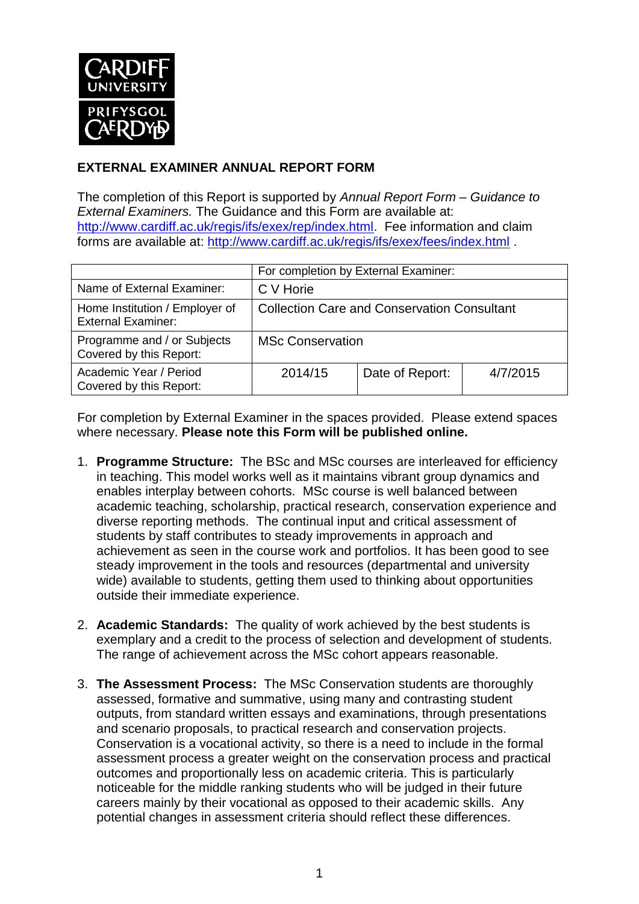

## **EXTERNAL EXAMINER ANNUAL REPORT FORM**

The completion of this Report is supported by *Annual Report Form – Guidance to External Examiners.* The Guidance and this Form are available at: [http://www.cardiff.ac.uk/regis/ifs/exex/rep/index.html.](http://www.cardiff.ac.uk/regis/ifs/exex/rep/index.html) Fee information and claim forms are available at:<http://www.cardiff.ac.uk/regis/ifs/exex/fees/index.html> .

|                                                             | For completion by External Examiner:               |                 |          |  |
|-------------------------------------------------------------|----------------------------------------------------|-----------------|----------|--|
| Name of External Examiner:                                  | C V Horie                                          |                 |          |  |
| Home Institution / Employer of<br><b>External Examiner:</b> | <b>Collection Care and Conservation Consultant</b> |                 |          |  |
| Programme and / or Subjects<br>Covered by this Report:      | <b>MSc Conservation</b>                            |                 |          |  |
| Academic Year / Period<br>Covered by this Report:           | 2014/15                                            | Date of Report: | 4/7/2015 |  |

For completion by External Examiner in the spaces provided. Please extend spaces where necessary. **Please note this Form will be published online.**

- 1. **Programme Structure:** The BSc and MSc courses are interleaved for efficiency in teaching. This model works well as it maintains vibrant group dynamics and enables interplay between cohorts. MSc course is well balanced between academic teaching, scholarship, practical research, conservation experience and diverse reporting methods. The continual input and critical assessment of students by staff contributes to steady improvements in approach and achievement as seen in the course work and portfolios. It has been good to see steady improvement in the tools and resources (departmental and university wide) available to students, getting them used to thinking about opportunities outside their immediate experience.
- 2. **Academic Standards:** The quality of work achieved by the best students is exemplary and a credit to the process of selection and development of students. The range of achievement across the MSc cohort appears reasonable.
- 3. **The Assessment Process:** The MSc Conservation students are thoroughly assessed, formative and summative, using many and contrasting student outputs, from standard written essays and examinations, through presentations and scenario proposals, to practical research and conservation projects. Conservation is a vocational activity, so there is a need to include in the formal assessment process a greater weight on the conservation process and practical outcomes and proportionally less on academic criteria. This is particularly noticeable for the middle ranking students who will be judged in their future careers mainly by their vocational as opposed to their academic skills. Any potential changes in assessment criteria should reflect these differences.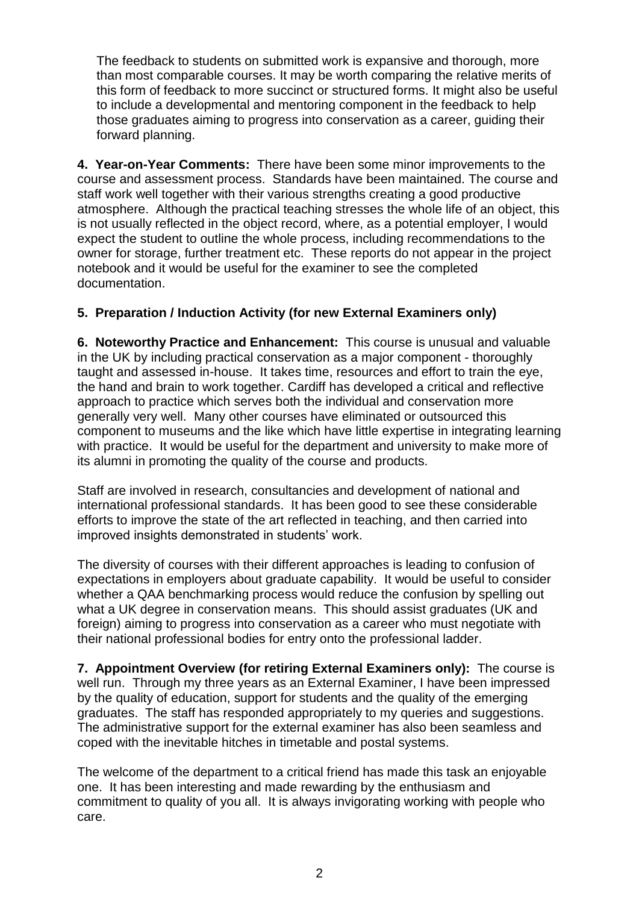The feedback to students on submitted work is expansive and thorough, more than most comparable courses. It may be worth comparing the relative merits of this form of feedback to more succinct or structured forms. It might also be useful to include a developmental and mentoring component in the feedback to help those graduates aiming to progress into conservation as a career, guiding their forward planning.

**4. Year-on-Year Comments:** There have been some minor improvements to the course and assessment process. Standards have been maintained. The course and staff work well together with their various strengths creating a good productive atmosphere. Although the practical teaching stresses the whole life of an object, this is not usually reflected in the object record, where, as a potential employer, I would expect the student to outline the whole process, including recommendations to the owner for storage, further treatment etc. These reports do not appear in the project notebook and it would be useful for the examiner to see the completed documentation.

## **5. Preparation / Induction Activity (for new External Examiners only)**

**6. Noteworthy Practice and Enhancement:** This course is unusual and valuable in the UK by including practical conservation as a major component - thoroughly taught and assessed in-house. It takes time, resources and effort to train the eye, the hand and brain to work together. Cardiff has developed a critical and reflective approach to practice which serves both the individual and conservation more generally very well. Many other courses have eliminated or outsourced this component to museums and the like which have little expertise in integrating learning with practice. It would be useful for the department and university to make more of its alumni in promoting the quality of the course and products.

Staff are involved in research, consultancies and development of national and international professional standards. It has been good to see these considerable efforts to improve the state of the art reflected in teaching, and then carried into improved insights demonstrated in students' work.

The diversity of courses with their different approaches is leading to confusion of expectations in employers about graduate capability. It would be useful to consider whether a QAA benchmarking process would reduce the confusion by spelling out what a UK degree in conservation means. This should assist graduates (UK and foreign) aiming to progress into conservation as a career who must negotiate with their national professional bodies for entry onto the professional ladder.

**7. Appointment Overview (for retiring External Examiners only):** The course is well run. Through my three years as an External Examiner, I have been impressed by the quality of education, support for students and the quality of the emerging graduates. The staff has responded appropriately to my queries and suggestions. The administrative support for the external examiner has also been seamless and coped with the inevitable hitches in timetable and postal systems.

The welcome of the department to a critical friend has made this task an enjoyable one. It has been interesting and made rewarding by the enthusiasm and commitment to quality of you all. It is always invigorating working with people who care.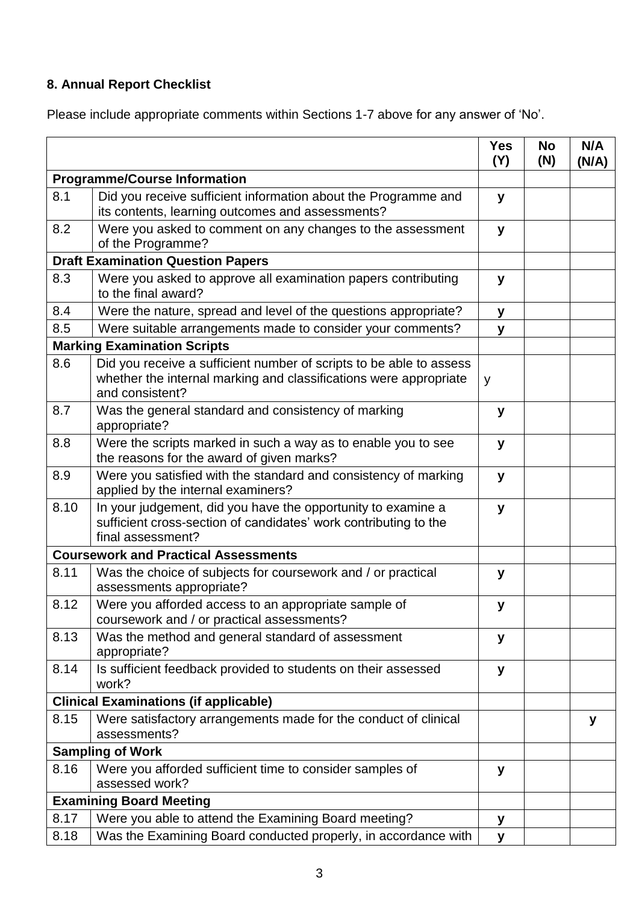## **8. Annual Report Checklist**

Please include appropriate comments within Sections 1-7 above for any answer of 'No'.

|                                              |                                                                                                                                                             | <b>Yes</b><br>(Y) | <b>No</b><br>(N) | N/A<br>(N/A) |
|----------------------------------------------|-------------------------------------------------------------------------------------------------------------------------------------------------------------|-------------------|------------------|--------------|
| <b>Programme/Course Information</b>          |                                                                                                                                                             |                   |                  |              |
| 8.1                                          | Did you receive sufficient information about the Programme and<br>its contents, learning outcomes and assessments?                                          | y                 |                  |              |
| 8.2                                          | Were you asked to comment on any changes to the assessment<br>of the Programme?                                                                             | y                 |                  |              |
| <b>Draft Examination Question Papers</b>     |                                                                                                                                                             |                   |                  |              |
| 8.3                                          | Were you asked to approve all examination papers contributing<br>to the final award?                                                                        | y                 |                  |              |
| 8.4                                          | Were the nature, spread and level of the questions appropriate?                                                                                             | y                 |                  |              |
| 8.5                                          | Were suitable arrangements made to consider your comments?                                                                                                  | y                 |                  |              |
| <b>Marking Examination Scripts</b>           |                                                                                                                                                             |                   |                  |              |
| 8.6                                          | Did you receive a sufficient number of scripts to be able to assess<br>whether the internal marking and classifications were appropriate<br>and consistent? | y                 |                  |              |
| 8.7                                          | Was the general standard and consistency of marking<br>appropriate?                                                                                         | y                 |                  |              |
| 8.8                                          | Were the scripts marked in such a way as to enable you to see<br>the reasons for the award of given marks?                                                  | y                 |                  |              |
| 8.9                                          | Were you satisfied with the standard and consistency of marking<br>applied by the internal examiners?                                                       | y                 |                  |              |
| 8.10                                         | In your judgement, did you have the opportunity to examine a<br>sufficient cross-section of candidates' work contributing to the<br>final assessment?       | y                 |                  |              |
|                                              | <b>Coursework and Practical Assessments</b>                                                                                                                 |                   |                  |              |
| 8.11                                         | Was the choice of subjects for coursework and / or practical<br>assessments appropriate?                                                                    | y                 |                  |              |
| 8.12                                         | Were you afforded access to an appropriate sample of<br>coursework and / or practical assessments?                                                          | У                 |                  |              |
| 8.13                                         | Was the method and general standard of assessment<br>appropriate?                                                                                           | у                 |                  |              |
| 8.14                                         | Is sufficient feedback provided to students on their assessed<br>work?                                                                                      | у                 |                  |              |
| <b>Clinical Examinations (if applicable)</b> |                                                                                                                                                             |                   |                  |              |
| 8.15                                         | Were satisfactory arrangements made for the conduct of clinical<br>assessments?                                                                             |                   |                  | У            |
| <b>Sampling of Work</b>                      |                                                                                                                                                             |                   |                  |              |
| 8.16                                         | Were you afforded sufficient time to consider samples of<br>assessed work?                                                                                  | У                 |                  |              |
| <b>Examining Board Meeting</b>               |                                                                                                                                                             |                   |                  |              |
| 8.17                                         | Were you able to attend the Examining Board meeting?                                                                                                        | У                 |                  |              |
| 8.18                                         | Was the Examining Board conducted properly, in accordance with                                                                                              | y                 |                  |              |